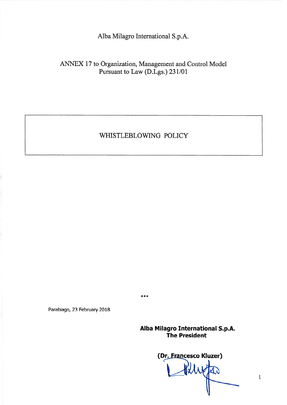Alba Milagro International S.p.A.

# ANNEX 17 to Organization, Management and Control Model Pursuant to Law (D.Lgs.) 231/01

# WHISTLEBLOWING POLICY

\*\*\*

Parabiago, 23 February 2018

Alba Milagro International S.p.A. The President

(Dr. Francesco Kluzer)

 $\mathbf{1}$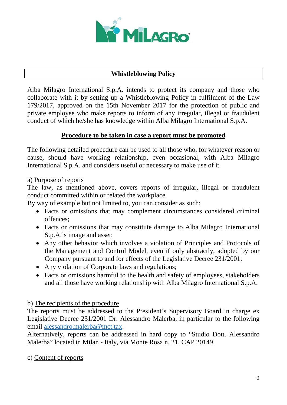

## **Whistleblowing Policy**

Alba Milagro International S.p.A. intends to protect its company and those who collaborate with it by setting up a Whistleblowing Policy in fulfilment of the Law 179/2017, approved on the 15th November 2017 for the protection of public and private employee who make reports to inform of any irregular, illegal or fraudulent conduct of which he/she has knowledge within Alba Milagro International S.p.A.

## **Procedure to be taken in case a report must be promoted**

The following detailed procedure can be used to all those who, for whatever reason or cause, should have working relationship, even occasional, with Alba Milagro International S.p.A. and considers useful or necessary to make use of it.

#### a) Purpose of reports

The law, as mentioned above, covers reports of irregular, illegal or fraudulent conduct committed within or related the workplace.

By way of example but not limited to, you can consider as such:

- Facts or omissions that may complement circumstances considered criminal offences;
- Facts or omissions that may constitute damage to Alba Milagro International S.p.A.'s image and asset;
- Any other behavior which involves a violation of Principles and Protocols of the Management and Control Model, even if only abstractly, adopted by our Company pursuant to and for effects of the Legislative Decree 231/2001;
- Any violation of Corporate laws and regulations;
- Facts or omissions harmful to the health and safety of employees, stakeholders and all those have working relationship with Alba Milagro International S.p.A.

## b) The recipients of the procedure

The reports must be addressed to the President's Supervisory Board in charge ex Legislative Decree 231/2001 Dr. Alessandro Malerba, in particular to the following email [alessandro.malerba@mct.tax.](mailto:alessandro.malerba@mct.tax)

Alternatively, reports can be addressed in hard copy to "Studio Dott. Alessandro Malerba" located in Milan - Italy, via Monte Rosa n. 21, CAP 20149.

c) Content of reports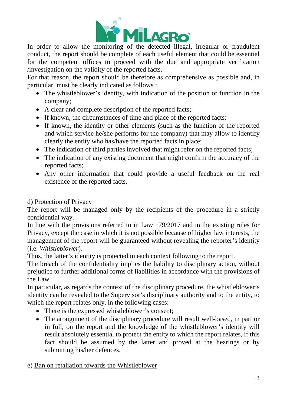

conduct, the report should be complete of each useful element that could be essential for the competent offices to proceed with the due and appropriate verification /investigation on the validity of the reported facts.

For that reason, the report should be therefore as comprehensive as possible and, in particular, must be clearly indicated as follows :

- The whistleblower's identity, with indication of the position or function in the company;
- A clear and complete description of the reported facts;
- If known, the circumstances of time and place of the reported facts;
- If known, the identity or other elements (such as the function of the reported and which service he/she performs for the company) that may allow to identify clearly the entity who has/have the reported facts in place;
- The indication of third parties involved that might refer on the reported facts;
- The indication of any existing document that might confirm the accuracy of the reported facts;
- Any other information that could provide a useful feedback on the real existence of the reported facts.

# d) Protection of Privacy

The report will be managed only by the recipients of the procedure in a strictly confidential way.

In line with the provisions referred to in Law 179/2017 and in the existing rules for Privacy, except the case in which it is not possible because of higher law interests, the management of the report will be guaranteed without revealing the reporter's identity (i.e. *Whistleblower*).

Thus, the latter's identity is protected in each context following to the report.

The breach of the confidentiality implies the liability to disciplinary action, without prejudice to further additional forms of liabilities in accordance with the provisions of the Law.

In particular, as regards the context of the disciplinary procedure, the whistleblower's identity can be revealed to the Supervisor's disciplinary authority and to the entity, to which the report relates only, in the following cases:

- There is the expressed whistleblower's consent;
- The arraignment of the disciplinary procedure will result well-based, in part or in full, on the report and the knowledge of the whistleblower's identity will result absolutely essential to protect the entity to which the report relates, if this fact should be assumed by the latter and proved at the hearings or by submitting his/her defences.

e) Ban on retaliation towards the Whistleblower